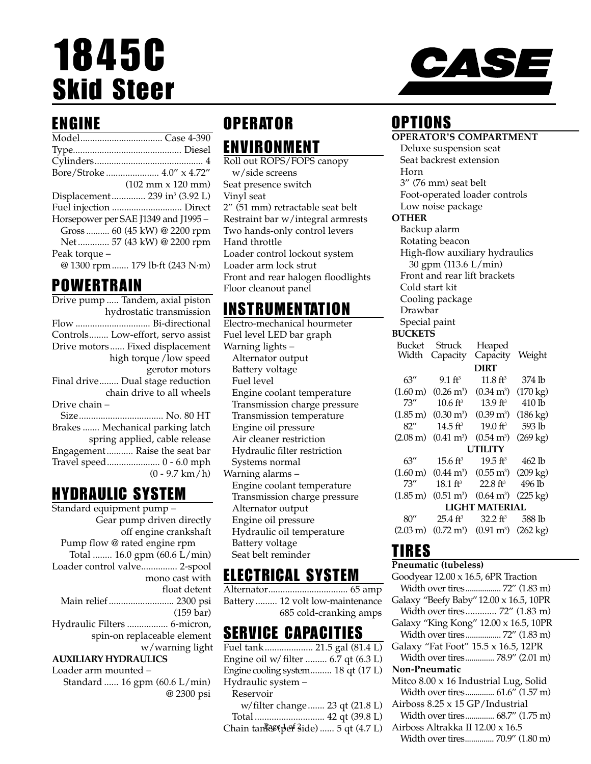# 1845C Skid Steer

### ENGINE

|               | Bore/Stroke  4.0" x 4.72"                    |
|---------------|----------------------------------------------|
|               | $(102 \, \text{mm} \times 120 \, \text{mm})$ |
|               | Displacement 239 in <sup>3</sup> (3.92 L)    |
|               |                                              |
|               | Horsepower per SAE J1349 and J1995 -         |
|               | Gross  60 (45 kW) @ 2200 rpm                 |
|               | Net  57 (43 kW) @ 2200 rpm                   |
| Peak torque - |                                              |
|               | @ 1300 rpm  179 lb·ft (243 N·m)              |
|               |                                              |

### POWERTRAIN

| Drive pump  Tandem, axial piston  |
|-----------------------------------|
| hydrostatic transmission          |
| Flow  Bi-directional              |
| Controls Low-effort, servo assist |
| Drive motors Fixed displacement   |
| high torque / low speed           |
| gerotor motors                    |
| Final drive Dual stage reduction  |
| chain drive to all wheels         |
| Drive chain -                     |
| Size No. 80 HT                    |
| Brakes  Mechanical parking latch  |
| spring applied, cable release     |
| Engagement Raise the seat bar     |
|                                   |
| $(0 - 9.7 \text{ km/h})$          |

### HYDRAULIC SYSTEM

Standard equipment pump – Gear pump driven directly off engine crankshaft Pump flow @ rated engine rpm Total ........ 16.0 gpm (60.6 L/min) Loader control valve............... 2-spool mono cast with float detent Main relief ........................... 2300 psi  $(159 \text{ bar})$ Hydraulic Filters ................. 6-micron, spin-on replaceable element w/warning light **AUXILIARY HYDRAULICS** Loader arm mounted –

Standard ...... 16 gpm (60.6 L/min) @ 2300 psi

# OPERATOR ENVIRONMENT

Roll out ROPS/FOPS canopy w/side screens Seat presence switch Vinyl seat 2" (51 mm) retractable seat belt Restraint bar w/integral armrests Two hands-only control levers Hand throttle Loader control lockout system Loader arm lock strut Front and rear halogen floodlights Floor cleanout panel

### INSTRUMENTATION

Electro-mechanical hourmeter Fuel level LED bar graph Warning lights – Alternator output Battery voltage Fuel level Engine coolant temperature Transmission charge pressure Transmission temperature Engine oil pressure Air cleaner restriction Hydraulic filter restriction Systems normal Warning alarms – Engine coolant temperature Transmission charge pressure Alternator output Engine oil pressure Hydraulic oil temperature Battery voltage Seat belt reminder

## ELECTRICAL SYSTEM

Alternator................................. 65 amp Battery ......... 12 volt low-maintenance 685 cold-cranking amps

### SERVICE CAPACITIES

| Fuel tank 21.5 gal (81.4 L)            |  |
|----------------------------------------|--|
| Engine oil w/ filter  6.7 qt (6.3 L)   |  |
| Engine cooling system 18 qt (17 L)     |  |
| Hydraulic system -                     |  |
| Reservoir                              |  |
| w/filter change 23 qt (21.8 L)         |  |
|                                        |  |
| Chain tankss (perf side)  5 qt (4.7 L) |  |
|                                        |  |



# OPTIONS

|                       |                         | <b>OPERATOR'S COMPARTMENT</b>                                |                    |
|-----------------------|-------------------------|--------------------------------------------------------------|--------------------|
|                       | Deluxe suspension seat  |                                                              |                    |
|                       | Seat backrest extension |                                                              |                    |
| Horn                  |                         |                                                              |                    |
|                       | 3" (76 mm) seat belt    |                                                              |                    |
|                       |                         | Foot-operated loader controls                                |                    |
|                       | Low noise package       |                                                              |                    |
| OTHER                 |                         |                                                              |                    |
|                       | Backup alarm            |                                                              |                    |
|                       | Rotating beacon         |                                                              |                    |
|                       |                         | High-flow auxiliary hydraulics                               |                    |
|                       | 30 gpm (113.6 L/min)    |                                                              |                    |
|                       |                         | Front and rear lift brackets                                 |                    |
| Cold start kit        |                         |                                                              |                    |
|                       | Cooling package         |                                                              |                    |
| Drawbar               |                         |                                                              |                    |
| Special paint         |                         |                                                              |                    |
| <b>BUCKETS</b>        |                         |                                                              |                    |
| <b>Bucket</b>         | Struck                  | Heaped                                                       |                    |
| Width                 | Capacity                | Capacity                                                     | Weight             |
|                       |                         | <b>DIRT</b>                                                  |                    |
| 63''                  | $9.1 \text{ ft}^3$      | $11.8 \text{ ft}^3$                                          | 374 lb             |
| $(1.60 \text{ m})$    | $(0.26 \,\mathrm{m}^3)$ | $(0.34 \text{ m}^3)$                                         | $(170 \text{ kg})$ |
| 73''                  | $10.6 \text{ ft}^3$     | 13.9 ft <sup>3</sup>                                         | 410 lb             |
| $(1.85 \,\mathrm{m})$ | $(0.30 \text{ m}^3)$    | $(0.39 \text{ m}^3)$                                         | $(186 \text{ kg})$ |
| 82''                  | 14.5 ft <sup>3</sup>    | $19.0 \text{ ft}^3$                                          | 593 lb             |
| $(2.08 \text{ m})$    | $(0.41 \text{ m}^3)$    | $(0.54 \text{ m}^3)$                                         | $(269 \text{ kg})$ |
|                       |                         | <b>UTILITY</b>                                               |                    |
| 63''                  | 15.6 ft <sup>3</sup>    | 19.5 ft <sup>3</sup>                                         | 462 lb             |
| $(1.60 \text{ m})$    | $(0.44 \; \rm{m}^3)$    | $(0.55 \,\mathrm{m}^3)$                                      | $(209 \text{ kg})$ |
| 73''                  | $18.1 \text{ ft}^3$     | $22.8 \text{ ft}^3$                                          | 496 lb             |
| $(1.85 \,\mathrm{m})$ | $(0.51 \text{ m}^3)$    | $(0.64 \text{ m}^3)$                                         | $(225 \text{ kg})$ |
|                       |                         | <b>LIGHT MATERIAL</b>                                        |                    |
| 80''                  | 25.4 ft <sup>3</sup>    | $32.2$ ft <sup>3</sup>                                       | 588 lb             |
| $(2.03 \text{ m})$    |                         | $(0.72 \text{ m}^3)$ $(0.91 \text{ m}^3)$ $(262 \text{ kg})$ |                    |
|                       |                         |                                                              |                    |

### TIRES

#### **Pneumatic (tubeless)**

| Goodyear 12.00 x 16.5, 6PR Traction    |
|----------------------------------------|
| Width over tires  72" (1.83 m)         |
| Galaxy "Beefy Baby" 12.00 x 16.5, 10PR |
| Width over tires 72" (1.83 m)          |
| Galaxy "King Kong" 12.00 x 16.5, 10PR  |
| Width over tires 72" (1.83 m)          |
| Galaxy "Fat Foot" 15.5 x 16.5, 12PR    |
| Width over tires 78.9" (2.01 m)        |
| <b>Non-Pneumatic</b>                   |
| Mitco 8.00 x 16 Industrial Lug, Solid  |
| Width over tires 61.6" (1.57 m)        |
| Airboss 8.25 x 15 GP/Industrial        |
| Width over tires 68.7" (1.75 m)        |
| Airboss Altrakka II 12.00 x 16.5       |
| Width over tires 70.9" (1.80 m)        |